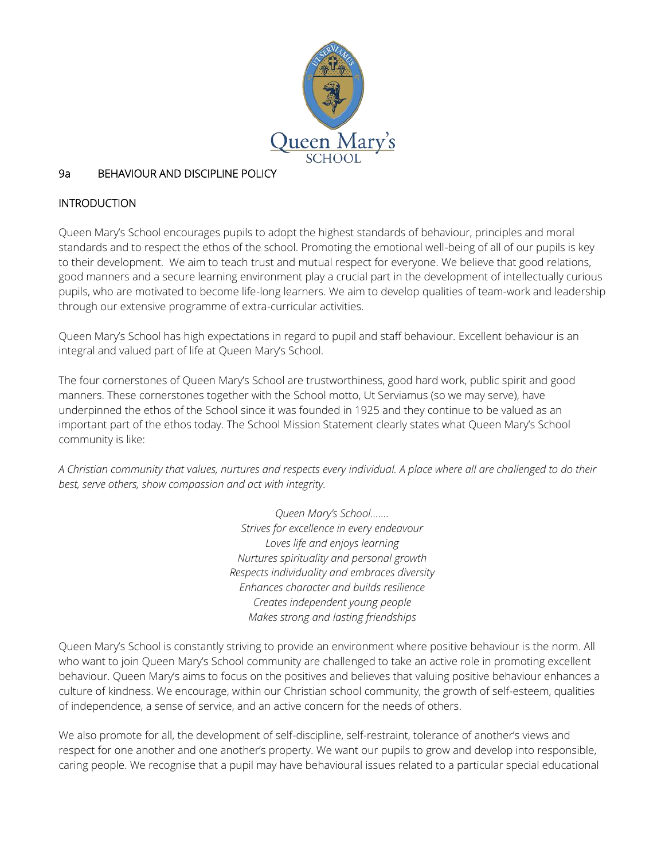

## 9a BEHAVIOUR AND DISCIPLINE POLICY

## **INTRODUCTION**

Queen Mary's School encourages pupils to adopt the highest standards of behaviour, principles and moral standards and to respect the ethos of the school. Promoting the emotional well-being of all of our pupils is key to their development. We aim to teach trust and mutual respect for everyone. We believe that good relations, good manners and a secure learning environment play a crucial part in the development of intellectually curious pupils, who are motivated to become life-long learners. We aim to develop qualities of team-work and leadership through our extensive programme of extra-curricular activities.

Queen Mary's School has high expectations in regard to pupil and staff behaviour. Excellent behaviour is an integral and valued part of life at Queen Mary's School.

The four cornerstones of Queen Mary's School are trustworthiness, good hard work, public spirit and good manners. These cornerstones together with the School motto, Ut Serviamus (so we may serve), have underpinned the ethos of the School since it was founded in 1925 and they continue to be valued as an important part of the ethos today. The School Mission Statement clearly states what Queen Mary's School community is like:

*A Christian community that values, nurtures and respects every individual. A place where all are challenged to do their best, serve others, show compassion and act with integrity.* 

> *Queen Mary's School……. Strives for excellence in every endeavour Loves life and enjoys learning Nurtures spirituality and personal growth Respects individuality and embraces diversity Enhances character and builds resilience Creates independent young people Makes strong and lasting friendships*

Queen Mary's School is constantly striving to provide an environment where positive behaviour is the norm. All who want to join Queen Mary's School community are challenged to take an active role in promoting excellent behaviour. Queen Mary's aims to focus on the positives and believes that valuing positive behaviour enhances a culture of kindness. We encourage, within our Christian school community, the growth of self-esteem, qualities of independence, a sense of service, and an active concern for the needs of others.

We also promote for all, the development of self-discipline, self-restraint, tolerance of another's views and respect for one another and one another's property. We want our pupils to grow and develop into responsible, caring people. We recognise that a pupil may have behavioural issues related to a particular special educational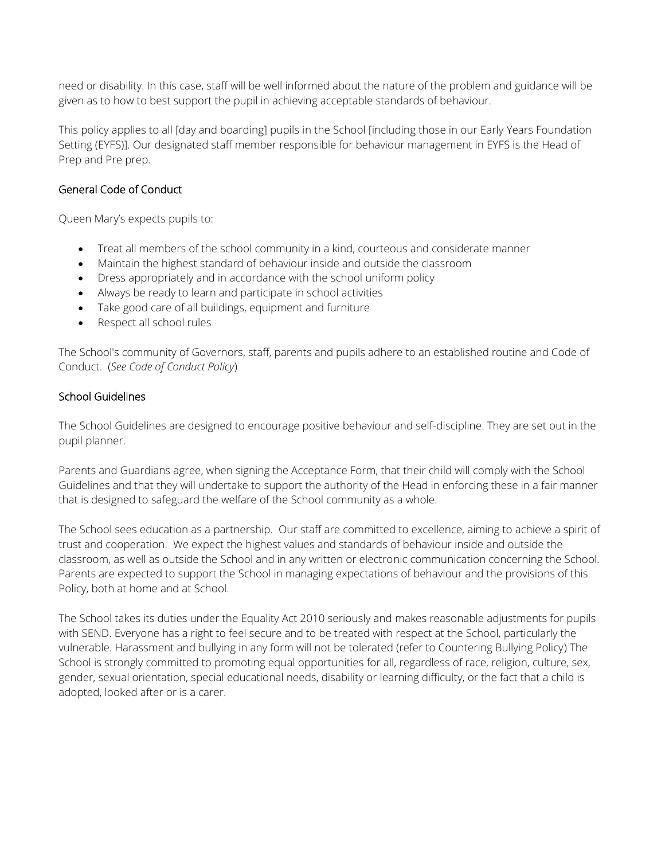need or disability. In this case, staff will be well informed about the nature of the problem and guidance will be given as to how to best support the pupil in achieving acceptable standards of behaviour.

This policy applies to all [day and boarding] pupils in the School [including those in our Early Years Foundation Setting (EYFS)]. Our designated staff member responsible for behaviour management in EYFS is the Head of Prep and Pre prep.

#### General Code of Conduct

Queen Mary's expects pupils to:

- Treat all members of the school community in a kind, courteous and considerate manner
- Maintain the highest standard of behaviour inside and outside the classroom
- Dress appropriately and in accordance with the school uniform policy
- Always be ready to learn and participate in school activities
- Take good care of all buildings, equipment and furniture
- Respect all school rules

The School's community of Governors, staff, parents and pupils adhere to an established routine and Code of Conduct. (*See Code of Conduct Policy*)

#### School Guidelines

The School Guidelines are designed to encourage positive behaviour and self-discipline. They are set out in the pupil planner.

Parents and Guardians agree, when signing the Acceptance Form, that their child will comply with the School Guidelines and that they will undertake to support the authority of the Head in enforcing these in a fair manner that is designed to safeguard the welfare of the School community as a whole.

The School sees education as a partnership. Our staff are committed to excellence, aiming to achieve a spirit of trust and cooperation. We expect the highest values and standards of behaviour inside and outside the classroom, as well as outside the School and in any written or electronic communication concerning the School. Parents are expected to support the School in managing expectations of behaviour and the provisions of this Policy, both at home and at School.

The School takes its duties under the Equality Act 2010 seriously and makes reasonable adjustments for pupils with SEND. Everyone has a right to feel secure and to be treated with respect at the School, particularly the vulnerable. Harassment and bullying in any form will not be tolerated (refer to Countering Bullying Policy) The School is strongly committed to promoting equal opportunities for all, regardless of race, religion, culture, sex, gender, sexual orientation, special educational needs, disability or learning difficulty, or the fact that a child is adopted, looked after or is a carer.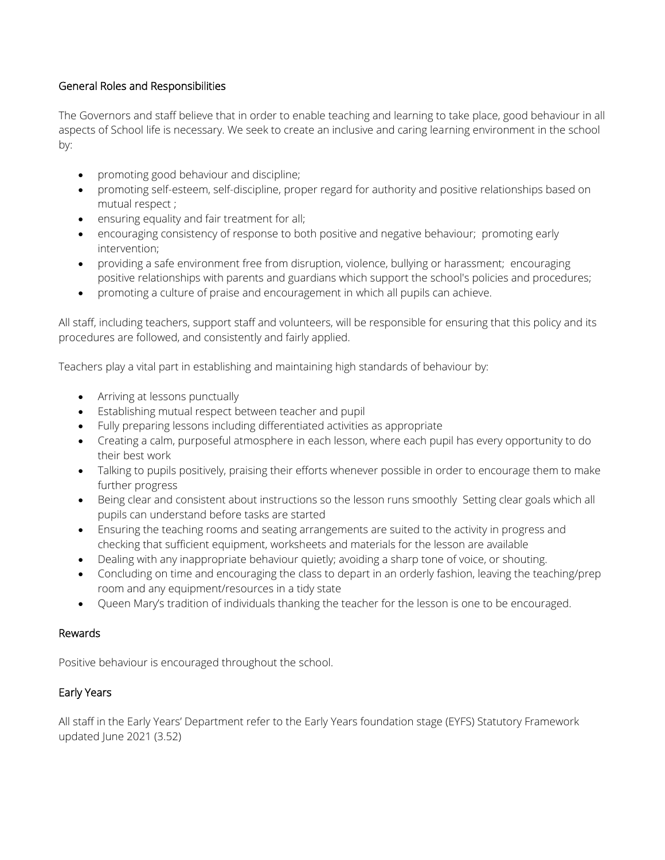### General Roles and Responsibilities

The Governors and staff believe that in order to enable teaching and learning to take place, good behaviour in all aspects of School life is necessary. We seek to create an inclusive and caring learning environment in the school by:

- promoting good behaviour and discipline;
- promoting self-esteem, self-discipline, proper regard for authority and positive relationships based on mutual respect ;
- ensuring equality and fair treatment for all;
- encouraging consistency of response to both positive and negative behaviour; promoting early intervention;
- providing a safe environment free from disruption, violence, bullying or harassment; encouraging positive relationships with parents and guardians which support the school's policies and procedures;
- promoting a culture of praise and encouragement in which all pupils can achieve.

All staff, including teachers, support staff and volunteers, will be responsible for ensuring that this policy and its procedures are followed, and consistently and fairly applied.

Teachers play a vital part in establishing and maintaining high standards of behaviour by:

- Arriving at lessons punctually
- Establishing mutual respect between teacher and pupil
- Fully preparing lessons including differentiated activities as appropriate
- Creating a calm, purposeful atmosphere in each lesson, where each pupil has every opportunity to do their best work
- Talking to pupils positively, praising their efforts whenever possible in order to encourage them to make further progress
- Being clear and consistent about instructions so the lesson runs smoothly Setting clear goals which all pupils can understand before tasks are started
- Ensuring the teaching rooms and seating arrangements are suited to the activity in progress and checking that sufficient equipment, worksheets and materials for the lesson are available
- Dealing with any inappropriate behaviour quietly; avoiding a sharp tone of voice, or shouting.
- Concluding on time and encouraging the class to depart in an orderly fashion, leaving the teaching/prep room and any equipment/resources in a tidy state
- Queen Mary's tradition of individuals thanking the teacher for the lesson is one to be encouraged.

#### Rewards

Positive behaviour is encouraged throughout the school.

## Early Years

All staff in the Early Years' Department refer to the Early Years foundation stage (EYFS) Statutory Framework updated June 2021 (3.52)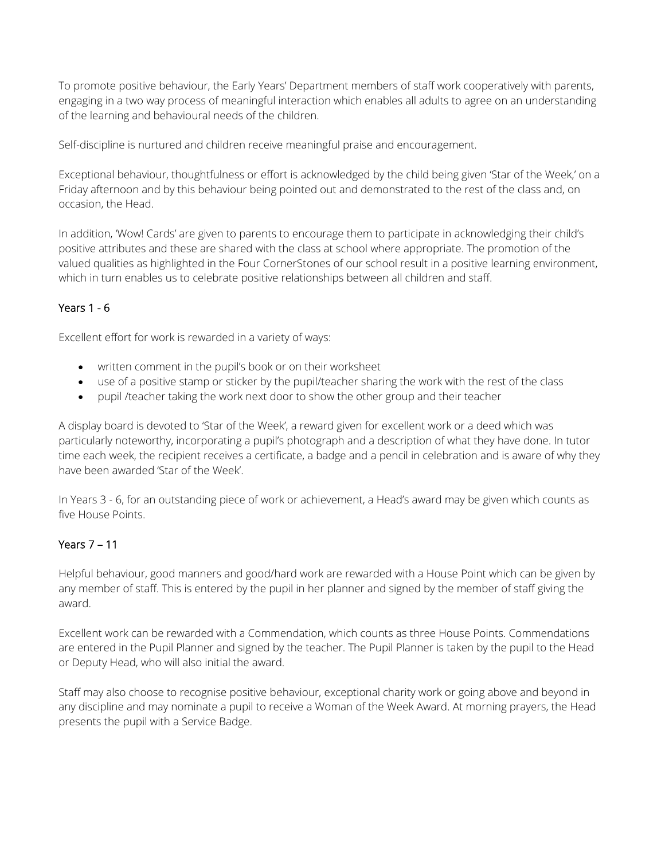To promote positive behaviour, the Early Years' Department members of staff work cooperatively with parents, engaging in a two way process of meaningful interaction which enables all adults to agree on an understanding of the learning and behavioural needs of the children.

Self-discipline is nurtured and children receive meaningful praise and encouragement.

Exceptional behaviour, thoughtfulness or effort is acknowledged by the child being given 'Star of the Week,' on a Friday afternoon and by this behaviour being pointed out and demonstrated to the rest of the class and, on occasion, the Head.

In addition, 'Wow! Cards' are given to parents to encourage them to participate in acknowledging their child's positive attributes and these are shared with the class at school where appropriate. The promotion of the valued qualities as highlighted in the Four CornerStones of our school result in a positive learning environment, which in turn enables us to celebrate positive relationships between all children and staff.

# Years 1 - 6

Excellent effort for work is rewarded in a variety of ways:

- written comment in the pupil's book or on their worksheet
- use of a positive stamp or sticker by the pupil/teacher sharing the work with the rest of the class
- pupil /teacher taking the work next door to show the other group and their teacher

A display board is devoted to 'Star of the Week', a reward given for excellent work or a deed which was particularly noteworthy, incorporating a pupil's photograph and a description of what they have done. In tutor time each week, the recipient receives a certificate, a badge and a pencil in celebration and is aware of why they have been awarded 'Star of the Week'.

In Years 3 - 6, for an outstanding piece of work or achievement, a Head's award may be given which counts as five House Points.

## Years 7 – 11

Helpful behaviour, good manners and good/hard work are rewarded with a House Point which can be given by any member of staff. This is entered by the pupil in her planner and signed by the member of staff giving the award.

Excellent work can be rewarded with a Commendation, which counts as three House Points. Commendations are entered in the Pupil Planner and signed by the teacher. The Pupil Planner is taken by the pupil to the Head or Deputy Head, who will also initial the award.

Staff may also choose to recognise positive behaviour, exceptional charity work or going above and beyond in any discipline and may nominate a pupil to receive a Woman of the Week Award. At morning prayers, the Head presents the pupil with a Service Badge.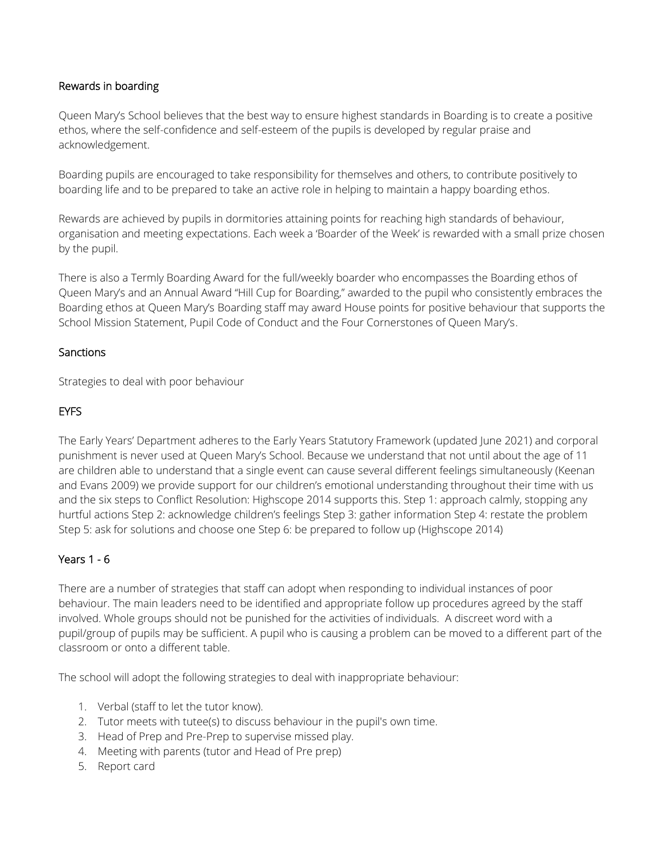### Rewards in boarding

Queen Mary's School believes that the best way to ensure highest standards in Boarding is to create a positive ethos, where the self-confidence and self-esteem of the pupils is developed by regular praise and acknowledgement.

Boarding pupils are encouraged to take responsibility for themselves and others, to contribute positively to boarding life and to be prepared to take an active role in helping to maintain a happy boarding ethos.

Rewards are achieved by pupils in dormitories attaining points for reaching high standards of behaviour, organisation and meeting expectations. Each week a 'Boarder of the Week' is rewarded with a small prize chosen by the pupil.

There is also a Termly Boarding Award for the full/weekly boarder who encompasses the Boarding ethos of Queen Mary's and an Annual Award "Hill Cup for Boarding," awarded to the pupil who consistently embraces the Boarding ethos at Queen Mary's Boarding staff may award House points for positive behaviour that supports the School Mission Statement, Pupil Code of Conduct and the Four Cornerstones of Queen Mary's.

### **Sanctions**

Strategies to deal with poor behaviour

# EYFS

The Early Years' Department adheres to the Early Years Statutory Framework (updated June 2021) and corporal punishment is never used at Queen Mary's School. Because we understand that not until about the age of 11 are children able to understand that a single event can cause several different feelings simultaneously (Keenan and Evans 2009) we provide support for our children's emotional understanding throughout their time with us and the six steps to Conflict Resolution: Highscope 2014 supports this. Step 1: approach calmly, stopping any hurtful actions Step 2: acknowledge children's feelings Step 3: gather information Step 4: restate the problem Step 5: ask for solutions and choose one Step 6: be prepared to follow up (Highscope 2014)

## Years 1 - 6

There are a number of strategies that staff can adopt when responding to individual instances of poor behaviour. The main leaders need to be identified and appropriate follow up procedures agreed by the staff involved. Whole groups should not be punished for the activities of individuals. A discreet word with a pupil/group of pupils may be sufficient. A pupil who is causing a problem can be moved to a different part of the classroom or onto a different table.

The school will adopt the following strategies to deal with inappropriate behaviour:

- 1. Verbal (staff to let the tutor know).
- 2. Tutor meets with tutee(s) to discuss behaviour in the pupil's own time.
- 3. Head of Prep and Pre-Prep to supervise missed play.
- 4. Meeting with parents (tutor and Head of Pre prep)
- 5. Report card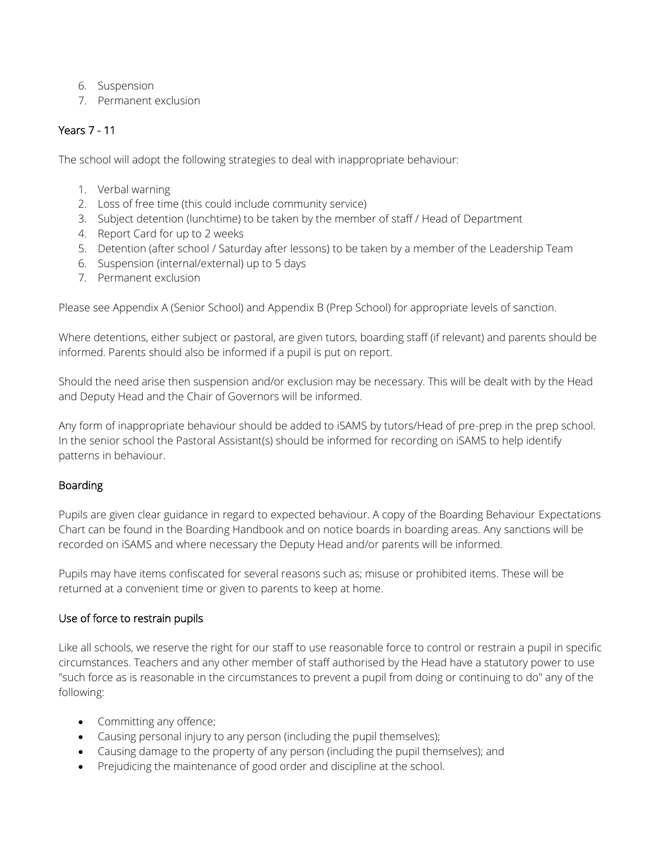- 6. Suspension
- 7. Permanent exclusion

### Years 7 - 11

The school will adopt the following strategies to deal with inappropriate behaviour:

- 1. Verbal warning
- 2. Loss of free time (this could include community service)
- 3. Subject detention (lunchtime) to be taken by the member of staff / Head of Department
- 4. Report Card for up to 2 weeks
- 5. Detention (after school / Saturday after lessons) to be taken by a member of the Leadership Team
- 6. Suspension (internal/external) up to 5 days
- 7. Permanent exclusion

Please see Appendix A (Senior School) and Appendix B (Prep School) for appropriate levels of sanction.

Where detentions, either subject or pastoral, are given tutors, boarding staff (if relevant) and parents should be informed. Parents should also be informed if a pupil is put on report.

Should the need arise then suspension and/or exclusion may be necessary. This will be dealt with by the Head and Deputy Head and the Chair of Governors will be informed.

Any form of inappropriate behaviour should be added to iSAMS by tutors/Head of pre-prep in the prep school. In the senior school the Pastoral Assistant(s) should be informed for recording on iSAMS to help identify patterns in behaviour.

#### Boarding

Pupils are given clear guidance in regard to expected behaviour. A copy of the Boarding Behaviour Expectations Chart can be found in the Boarding Handbook and on notice boards in boarding areas. Any sanctions will be recorded on iSAMS and where necessary the Deputy Head and/or parents will be informed.

Pupils may have items confiscated for several reasons such as; misuse or prohibited items. These will be returned at a convenient time or given to parents to keep at home.

#### Use of force to restrain pupils

Like all schools, we reserve the right for our staff to use reasonable force to control or restrain a pupil in specific circumstances. Teachers and any other member of staff authorised by the Head have a statutory power to use "such force as is reasonable in the circumstances to prevent a pupil from doing or continuing to do" any of the following:

- Committing any offence;
- Causing personal injury to any person (including the pupil themselves);
- Causing damage to the property of any person (including the pupil themselves); and
- Prejudicing the maintenance of good order and discipline at the school.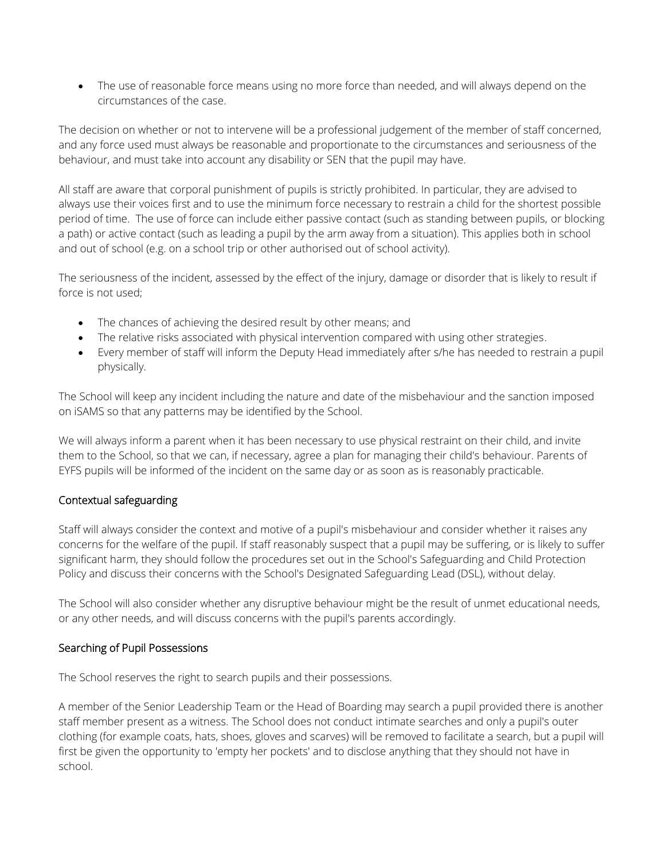The use of reasonable force means using no more force than needed, and will always depend on the circumstances of the case.

The decision on whether or not to intervene will be a professional judgement of the member of staff concerned, and any force used must always be reasonable and proportionate to the circumstances and seriousness of the behaviour, and must take into account any disability or SEN that the pupil may have.

All staff are aware that corporal punishment of pupils is strictly prohibited. In particular, they are advised to always use their voices first and to use the minimum force necessary to restrain a child for the shortest possible period of time. The use of force can include either passive contact (such as standing between pupils, or blocking a path) or active contact (such as leading a pupil by the arm away from a situation). This applies both in school and out of school (e.g. on a school trip or other authorised out of school activity).

The seriousness of the incident, assessed by the effect of the injury, damage or disorder that is likely to result if force is not used;

- The chances of achieving the desired result by other means; and
- The relative risks associated with physical intervention compared with using other strategies.
- Every member of staff will inform the Deputy Head immediately after s/he has needed to restrain a pupil physically.

The School will keep any incident including the nature and date of the misbehaviour and the sanction imposed on iSAMS so that any patterns may be identified by the School.

We will always inform a parent when it has been necessary to use physical restraint on their child, and invite them to the School, so that we can, if necessary, agree a plan for managing their child's behaviour. Parents of EYFS pupils will be informed of the incident on the same day or as soon as is reasonably practicable.

#### Contextual safeguarding

Staff will always consider the context and motive of a pupil's misbehaviour and consider whether it raises any concerns for the welfare of the pupil. If staff reasonably suspect that a pupil may be suffering, or is likely to suffer significant harm, they should follow the procedures set out in the School's Safeguarding and Child Protection Policy and discuss their concerns with the School's Designated Safeguarding Lead (DSL), without delay.

The School will also consider whether any disruptive behaviour might be the result of unmet educational needs, or any other needs, and will discuss concerns with the pupil's parents accordingly.

#### Searching of Pupil Possessions

The School reserves the right to search pupils and their possessions.

A member of the Senior Leadership Team or the Head of Boarding may search a pupil provided there is another staff member present as a witness. The School does not conduct intimate searches and only a pupil's outer clothing (for example coats, hats, shoes, gloves and scarves) will be removed to facilitate a search, but a pupil will first be given the opportunity to 'empty her pockets' and to disclose anything that they should not have in school.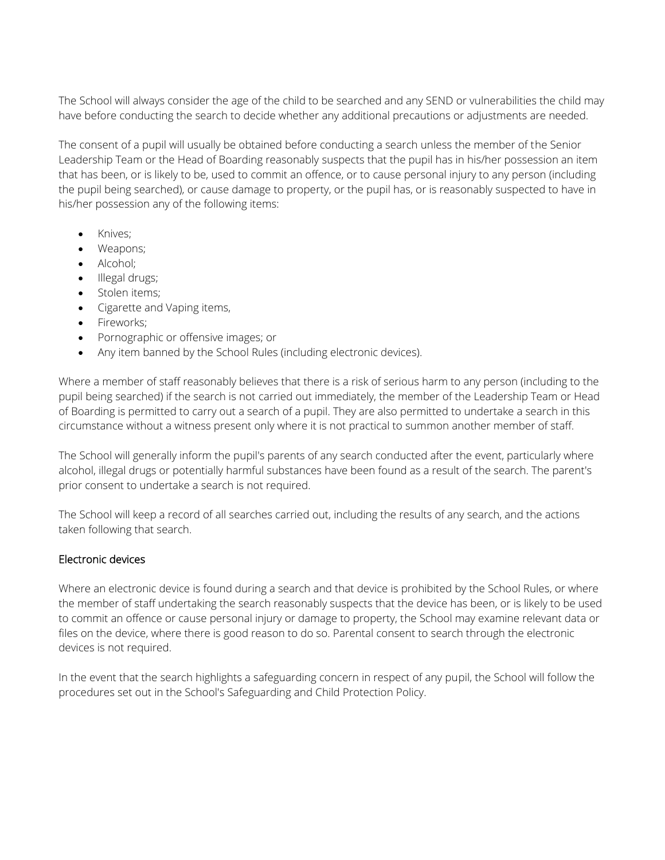The School will always consider the age of the child to be searched and any SEND or vulnerabilities the child may have before conducting the search to decide whether any additional precautions or adjustments are needed.

The consent of a pupil will usually be obtained before conducting a search unless the member of the Senior Leadership Team or the Head of Boarding reasonably suspects that the pupil has in his/her possession an item that has been, or is likely to be, used to commit an offence, or to cause personal injury to any person (including the pupil being searched), or cause damage to property, or the pupil has, or is reasonably suspected to have in his/her possession any of the following items:

- Knives;
- Weapons;
- Alcohol;
- Illegal drugs;
- Stolen items;
- Cigarette and Vaping items,
- Fireworks;
- Pornographic or offensive images; or
- Any item banned by the School Rules (including electronic devices).

Where a member of staff reasonably believes that there is a risk of serious harm to any person (including to the pupil being searched) if the search is not carried out immediately, the member of the Leadership Team or Head of Boarding is permitted to carry out a search of a pupil. They are also permitted to undertake a search in this circumstance without a witness present only where it is not practical to summon another member of staff.

The School will generally inform the pupil's parents of any search conducted after the event, particularly where alcohol, illegal drugs or potentially harmful substances have been found as a result of the search. The parent's prior consent to undertake a search is not required.

The School will keep a record of all searches carried out, including the results of any search, and the actions taken following that search.

#### Electronic devices

Where an electronic device is found during a search and that device is prohibited by the School Rules, or where the member of staff undertaking the search reasonably suspects that the device has been, or is likely to be used to commit an offence or cause personal injury or damage to property, the School may examine relevant data or files on the device, where there is good reason to do so. Parental consent to search through the electronic devices is not required.

In the event that the search highlights a safeguarding concern in respect of any pupil, the School will follow the procedures set out in the School's Safeguarding and Child Protection Policy.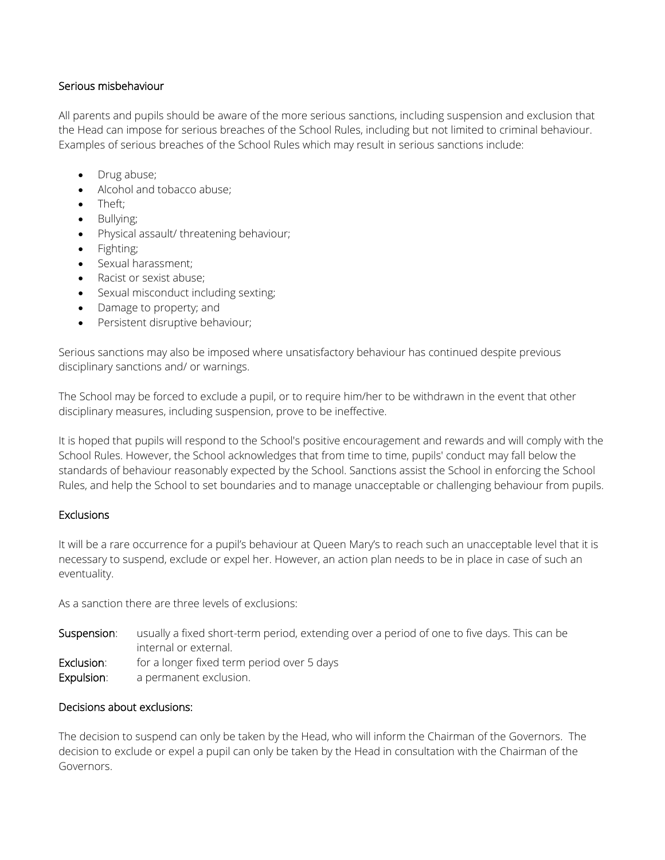#### Serious misbehaviour

All parents and pupils should be aware of the more serious sanctions, including suspension and exclusion that the Head can impose for serious breaches of the School Rules, including but not limited to criminal behaviour. Examples of serious breaches of the School Rules which may result in serious sanctions include:

- Drug abuse;
- Alcohol and tobacco abuse;
- Theft;
- Bullying;
- Physical assault/ threatening behaviour;
- Fighting;
- Sexual harassment;
- Racist or sexist abuse:
- Sexual misconduct including sexting;
- Damage to property; and
- **•** Persistent disruptive behaviour;

Serious sanctions may also be imposed where unsatisfactory behaviour has continued despite previous disciplinary sanctions and/ or warnings.

The School may be forced to exclude a pupil, or to require him/her to be withdrawn in the event that other disciplinary measures, including suspension, prove to be ineffective.

It is hoped that pupils will respond to the School's positive encouragement and rewards and will comply with the School Rules. However, the School acknowledges that from time to time, pupils' conduct may fall below the standards of behaviour reasonably expected by the School. Sanctions assist the School in enforcing the School Rules, and help the School to set boundaries and to manage unacceptable or challenging behaviour from pupils.

#### Exclusions

It will be a rare occurrence for a pupil's behaviour at Queen Mary's to reach such an unacceptable level that it is necessary to suspend, exclude or expel her. However, an action plan needs to be in place in case of such an eventuality.

As a sanction there are three levels of exclusions:

- Suspension: usually a fixed short-term period, extending over a period of one to five days. This can be internal or external.
- Exclusion: for a longer fixed term period over 5 days
- Expulsion: a permanent exclusion.

#### Decisions about exclusions:

The decision to suspend can only be taken by the Head, who will inform the Chairman of the Governors. The decision to exclude or expel a pupil can only be taken by the Head in consultation with the Chairman of the Governors.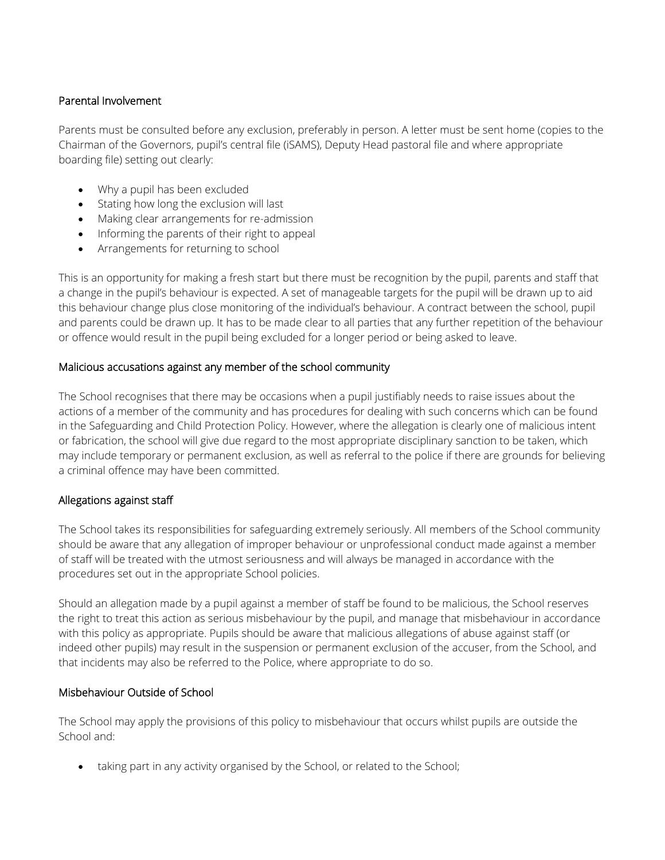### Parental Involvement

Parents must be consulted before any exclusion, preferably in person. A letter must be sent home (copies to the Chairman of the Governors, pupil's central file (iSAMS), Deputy Head pastoral file and where appropriate boarding file) setting out clearly:

- Why a pupil has been excluded
- Stating how long the exclusion will last
- Making clear arrangements for re-admission
- Informing the parents of their right to appeal
- Arrangements for returning to school

This is an opportunity for making a fresh start but there must be recognition by the pupil, parents and staff that a change in the pupil's behaviour is expected. A set of manageable targets for the pupil will be drawn up to aid this behaviour change plus close monitoring of the individual's behaviour. A contract between the school, pupil and parents could be drawn up. It has to be made clear to all parties that any further repetition of the behaviour or offence would result in the pupil being excluded for a longer period or being asked to leave.

#### Malicious accusations against any member of the school community

The School recognises that there may be occasions when a pupil justifiably needs to raise issues about the actions of a member of the community and has procedures for dealing with such concerns which can be found in the Safeguarding and Child Protection Policy. However, where the allegation is clearly one of malicious intent or fabrication, the school will give due regard to the most appropriate disciplinary sanction to be taken, which may include temporary or permanent exclusion, as well as referral to the police if there are grounds for believing a criminal offence may have been committed.

#### Allegations against staff

The School takes its responsibilities for safeguarding extremely seriously. All members of the School community should be aware that any allegation of improper behaviour or unprofessional conduct made against a member of staff will be treated with the utmost seriousness and will always be managed in accordance with the procedures set out in the appropriate School policies.

Should an allegation made by a pupil against a member of staff be found to be malicious, the School reserves the right to treat this action as serious misbehaviour by the pupil, and manage that misbehaviour in accordance with this policy as appropriate. Pupils should be aware that malicious allegations of abuse against staff (or indeed other pupils) may result in the suspension or permanent exclusion of the accuser, from the School, and that incidents may also be referred to the Police, where appropriate to do so.

#### Misbehaviour Outside of School

The School may apply the provisions of this policy to misbehaviour that occurs whilst pupils are outside the School and:

taking part in any activity organised by the School, or related to the School;